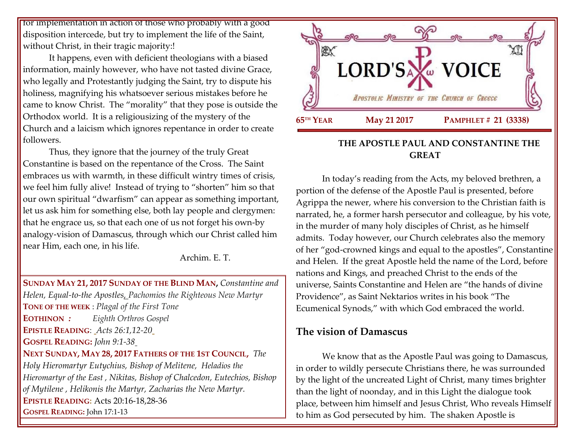for implementation in action of those who probably with a good disposition intercede, but try to implement the life of the Saint, without Christ, in their tragic majority:!

It happens, even with deficient theologians with a biased information, mainly however, who have not tasted divine Grace, who legally and Protestantly judging the Saint, try to dispute his holiness, magnifying his whatsoever serious mistakes before he came to know Christ. The "morality" that they pose is outside the Orthodox world. It is a religiousizing of the mystery of the Church and a laicism which ignores repentance in order to create followers.

Thus, they ignore that the journey of the truly Great Constantine is based on the repentance of the Cross. The Saint embraces us with warmth, in these difficult wintry times of crisis, we feel him fully alive! Instead of trying to "shorten" him so that our own spiritual "dwarfism" can appear as something important, let us ask him for something else, both lay people and clergymen: that he engrace us, so that each one of us not forget his own-by analogy-vision of Damascus, through which our Christ called him near Him, each one, in his life.

Archim. E. T.

**SUNDAY MAY 21, 2017 SUNDAY OF THE BLIND MAN,** *Constantine and Helen, Equal-to-the Apostles, Pachomios the Righteous New Martyr* **TONE OF THE WEEK** : *Plagal of the First Tone* **EOTHINON** *: Eighth Orthros Gospel* **EPISTLE READING**: *[Acts 26:1,12-20](https://www.goarch.org/chapel/lectionary?type=epistle&code=33&event=62&date=5/21/2017)* **GOSPEL READING:** *[John 9:1-38](https://www.goarch.org/chapel/lectionary?type=gospel&code=36&event=912&date=5/21/2017)* **NEXT SUNDAY, MAY 28, 2017 F[ATHERS OF THE](https://www.goarch.org/chapel/saints?contentid=940&PCode=6PS&D=S&date=5/28/2017) 1ST COUNCIL,** *[The](https://www.goarch.org/chapel/saints?contentid=69)  [Holy Hieromartyr Eutychius, Bishop of Melitene,](https://www.goarch.org/chapel/saints?contentid=69) Heladios the Hieromartyr of the East , Nikitas, Bishop of Chalcedon, [Eutechios, Bishop](https://www.goarch.org/chapel/saints?contentid=2124)  [of Mytilene](https://www.goarch.org/chapel/saints?contentid=2124) , Helikonis the Martyr, Zacharias the New Martyr.* **EPISTLE READING:** [Acts 20:16-18,28-36](https://www.goarch.org/chapel/lectionary?type=epistle&code=27&event=940&date=5/28/2017) **GOSPEL READING:** [John 17:1-13](https://www.goarch.org/chapel/lectionary?type=gospel&code=43&event=940&date=5/28/2017)



### **THE APOSTLE PAUL AND CONSTANTINE THE GREAT**

In today's reading from the Acts, my beloved brethren, a portion of the defense of the Apostle Paul is presented, before Agrippa the newer, where his conversion to the Christian faith is narrated, he, a former harsh persecutor and colleague, by his vote, in the murder of many holy disciples of Christ, as he himself admits. Today however, our Church celebrates also the memory of her "god-crowned kings and equal to the apostles", Constantine and Helen. If the great Apostle held the name of the Lord, before nations and Kings, and preached Christ to the ends of the universe, Saints Constantine and Helen are "the hands of divine Providence", as Saint Nektarios writes in his book "The Ecumenical Synods," with which God embraced the world.

## **The vision of Damascus**

We know that as the Apostle Paul was going to Damascus, in order to wildly persecute Christians there, he was surrounded by the light of the uncreated Light of Christ, many times brighter than the light of noonday, and in this Light the dialogue took place, between him himself and Jesus Christ, Who reveals Himself to him as God persecuted by him. The shaken Apostle is